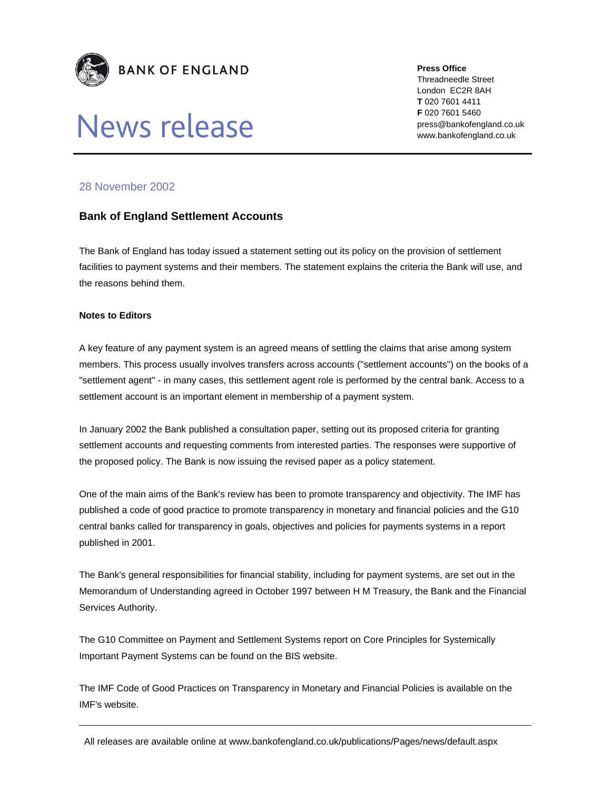

## News release

**Press Office** 

Threadneedle Street London EC2R 8AH **T** 020 7601 4411 **F** 020 7601 5460 press@bankofengland.co.uk www.bankofengland.co.uk

## 28 November 2002

## **Bank of England Settlement Accounts**

The Bank of England has today issued a statement setting out its policy on the provision of settlement facilities to payment systems and their members. The statement explains the criteria the Bank will use, and the reasons behind them.

## **Notes to Editors**

A key feature of any payment system is an agreed means of settling the claims that arise among system members. This process usually involves transfers across accounts ("settlement accounts") on the books of a "settlement agent" - in many cases, this settlement agent role is performed by the central bank. Access to a settlement account is an important element in membership of a payment system.

In January 2002 the Bank published a consultation paper, setting out its proposed criteria for granting settlement accounts and requesting comments from interested parties. The responses were supportive of the proposed policy. The Bank is now issuing the revised paper as a policy statement.

One of the main aims of the Bank's review has been to promote transparency and objectivity. The IMF has published a code of good practice to promote transparency in monetary and financial policies and the G10 central banks called for transparency in goals, objectives and policies for payments systems in a report published in 2001.

The Bank's general responsibilities for financial stability, including for payment systems, are set out in the Memorandum of Understanding agreed in October 1997 between H M Treasury, the Bank and the Financial Services Authority.

The G10 Committee on Payment and Settlement Systems report on Core Principles for Systemically Important Payment Systems can be found on the BIS website.

The IMF Code of Good Practices on Transparency in Monetary and Financial Policies is available on the IMF's website.